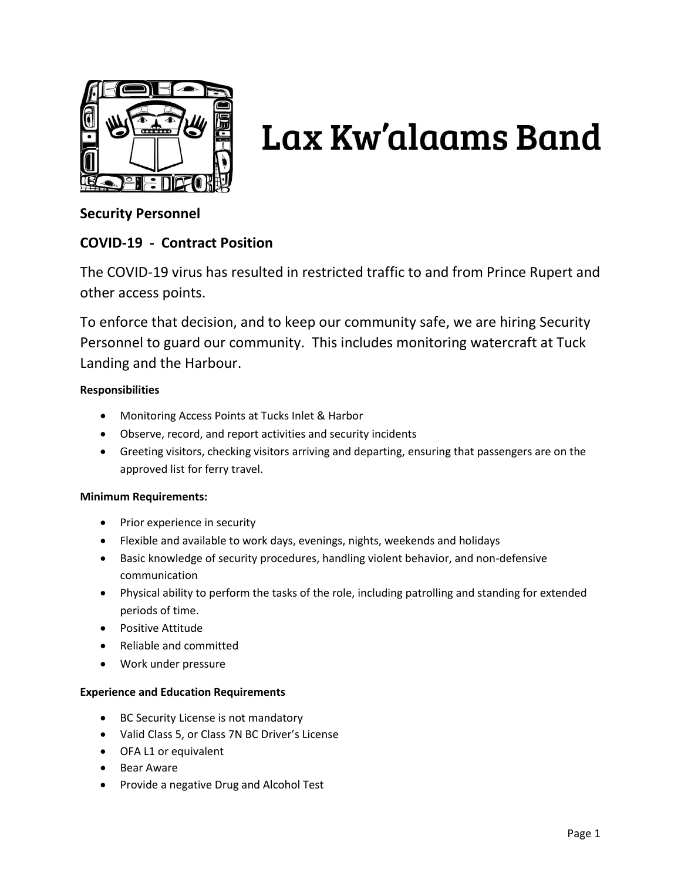

# Lax Kw'alaams Band

# **Security Personnel**

# **COVID-19 - Contract Position**

The COVID-19 virus has resulted in restricted traffic to and from Prince Rupert and other access points.

To enforce that decision, and to keep our community safe, we are hiring Security Personnel to guard our community. This includes monitoring watercraft at Tuck Landing and the Harbour.

## **Responsibilities**

- Monitoring Access Points at Tucks Inlet & Harbor
- Observe, record, and report activities and security incidents
- Greeting visitors, checking visitors arriving and departing, ensuring that passengers are on the approved list for ferry travel.

## **Minimum Requirements:**

- Prior experience in security
- Flexible and available to work days, evenings, nights, weekends and holidays
- Basic knowledge of security procedures, handling violent behavior, and non-defensive communication
- Physical ability to perform the tasks of the role, including patrolling and standing for extended periods of time.
- Positive Attitude
- Reliable and committed
- Work under pressure

### **Experience and Education Requirements**

- BC Security License is not mandatory
- Valid Class 5, or Class 7N BC Driver's License
- OFA L1 or equivalent
- Bear Aware
- Provide a negative Drug and Alcohol Test